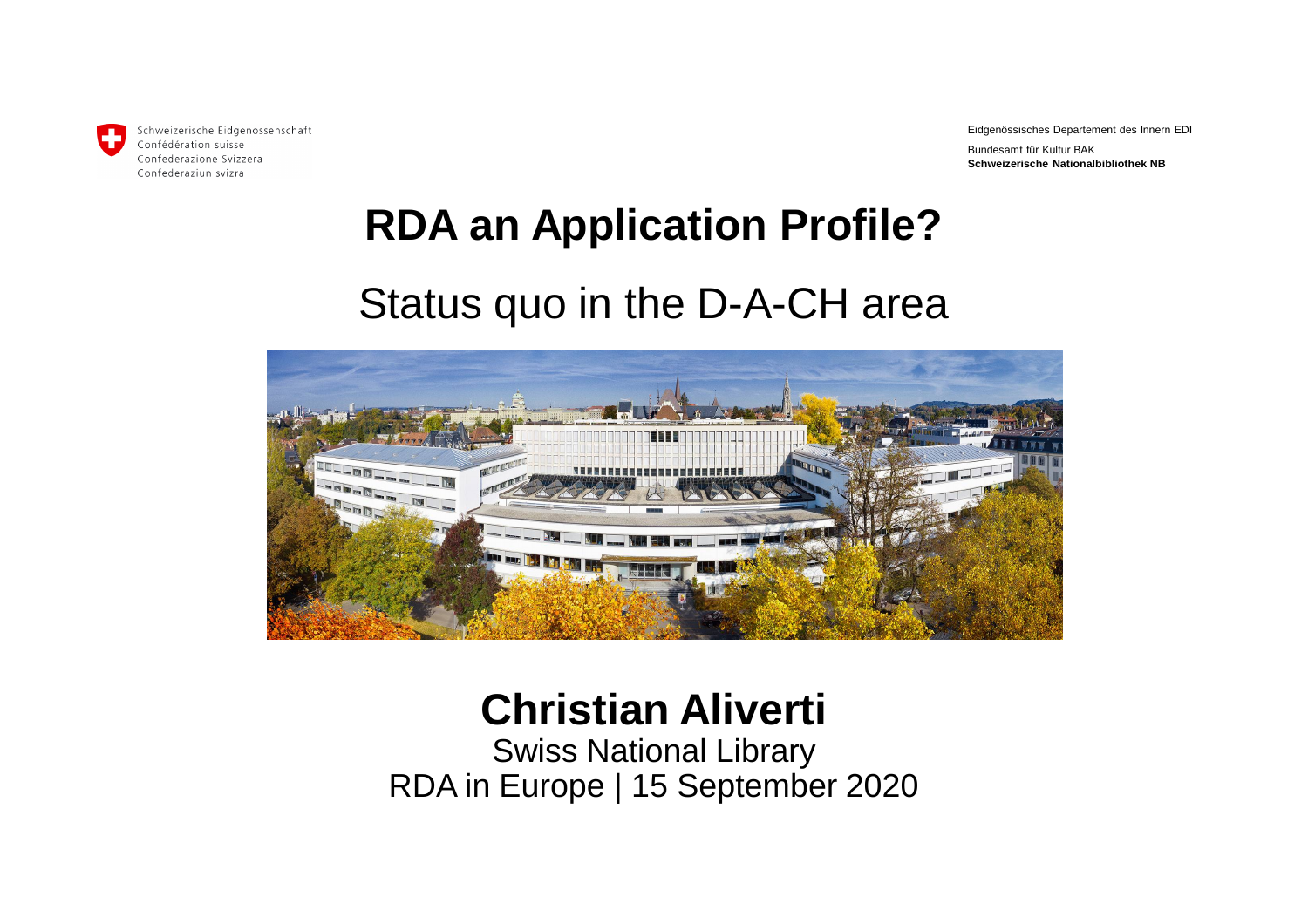

Schweizerische Eidgenossenschaft Confédération suisse Confederazione Svizzera Confederaziun svizra

Eidgenössisches Departement des Innern EDI Bundesamt für Kultur BAK **Schweizerische Nationalbibliothek NB**

### **RDA an Application Profile?**

### Status quo in the D-A-CH area



### **Christian Aliverti**

Swiss National Library RDA in Europe | 15 September 2020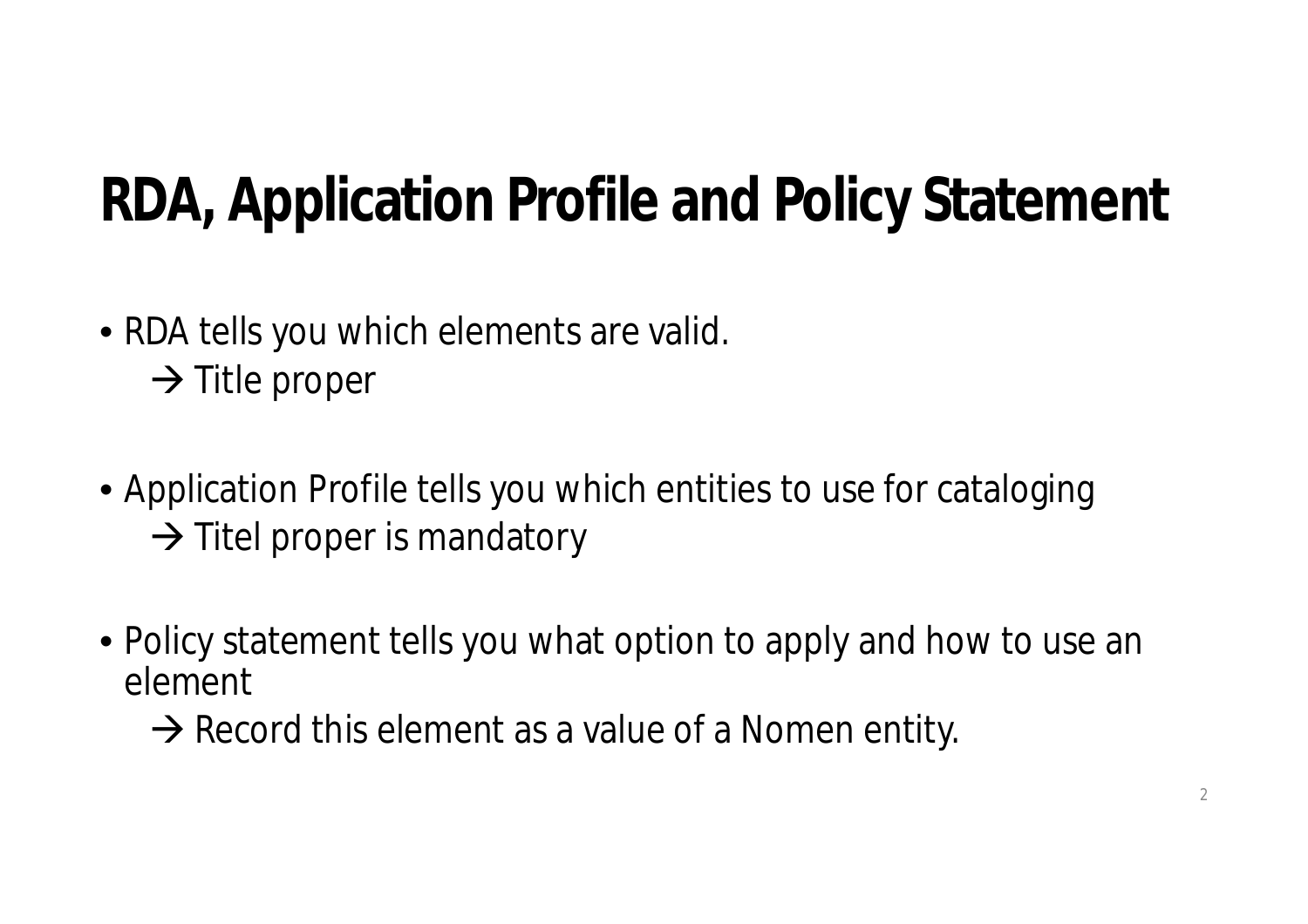## **RDA, Application Profile and Policy Statement**

- RDA tells you which elements are valid.  $\rightarrow$  Title proper
- Application Profile tells you which entities to use for cataloging  $\rightarrow$  Titel proper is mandatory
- Policy statement tells you what option to apply and how to use an element
	- $\rightarrow$  Record this element as a value of a Nomen entity.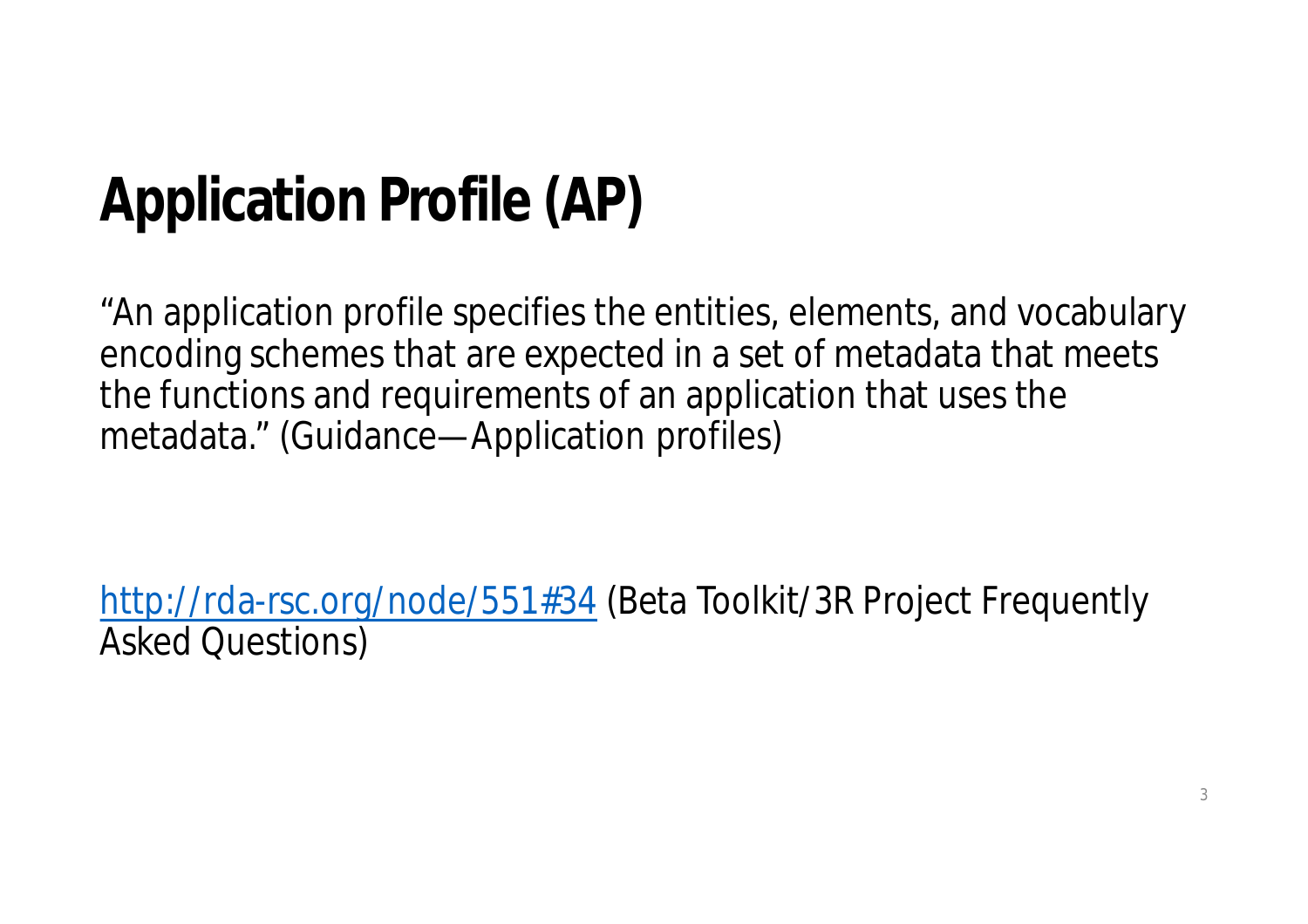## **Application Profile (AP)**

"An application profile specifies the entities, elements, and vocabulary encoding schemes that are expected in a set of metadata that meets the functions and requirements of an application that uses the metadata." (Guidance—Application profiles)

<http://rda-rsc.org>/node/551#34 (Beta Toolkit/3R Project Frequently Asked Questions)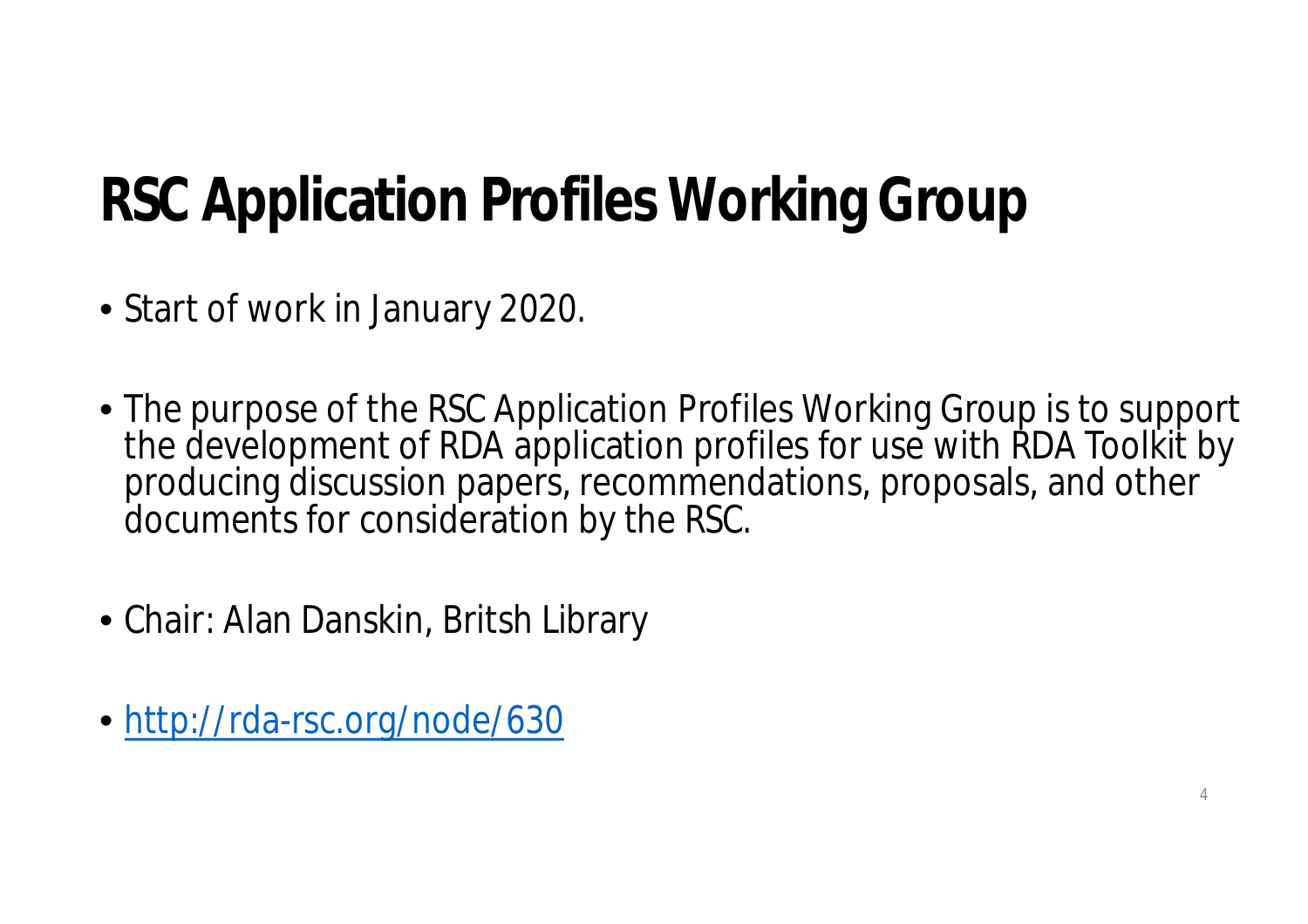## **RSC Application Profiles Working Group**

- Start of work in January 2020.
- The purpose of the RSC Application Profiles Working Group is to support the development of RDA application profiles for use with RDA Toolkit by producing discussion papers, recommendations, proposals, and other documents for consideration by the RSC.
- Chair: Alan Danskin, Britsh Library
- <http://rda-rsc.org>/node/630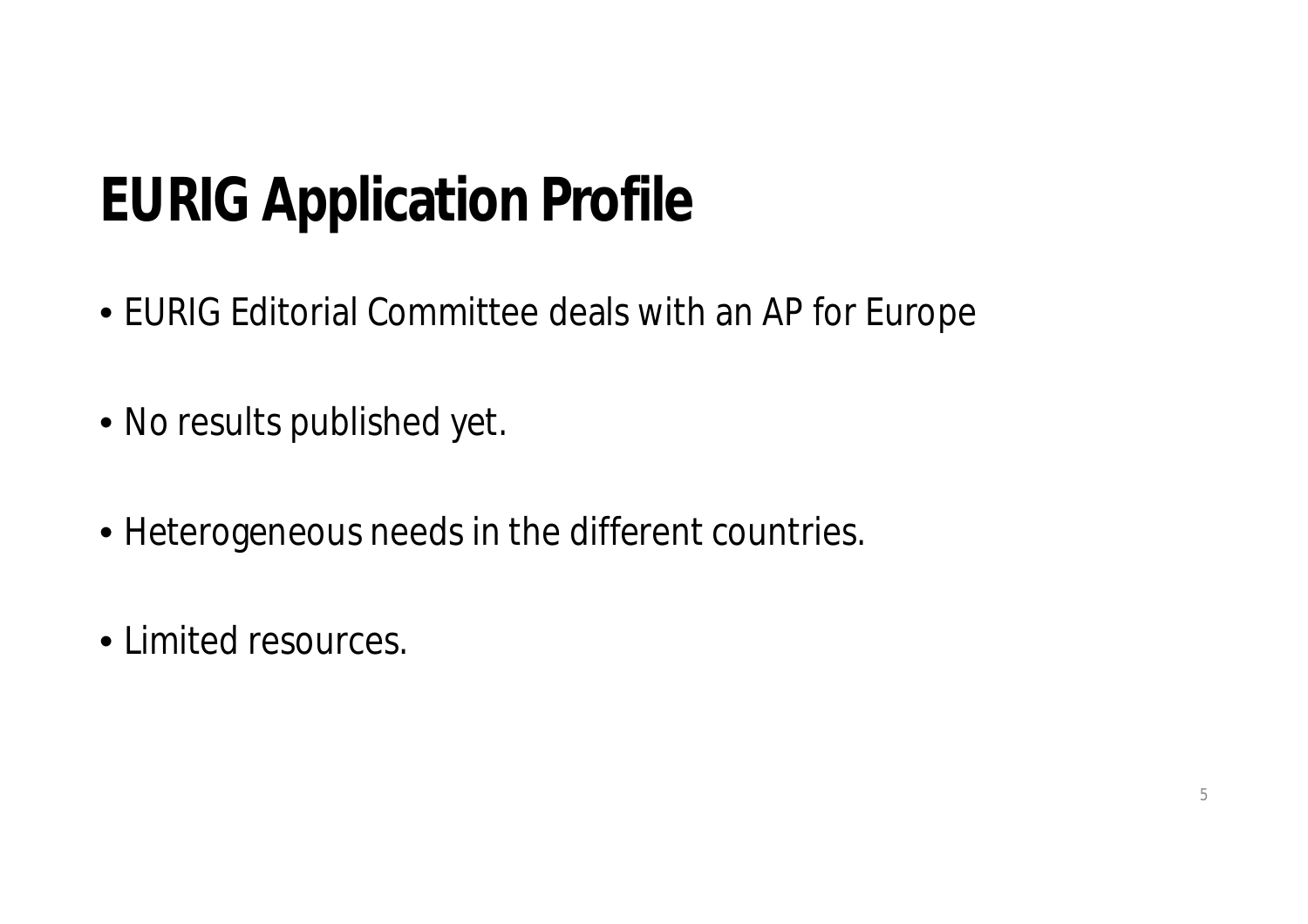## **EURIG Application Profile**

- EURIG Editorial Committee deals with an AP for Europe
- No results published yet.
- Heterogeneous needs in the different countries.
- Limited resources.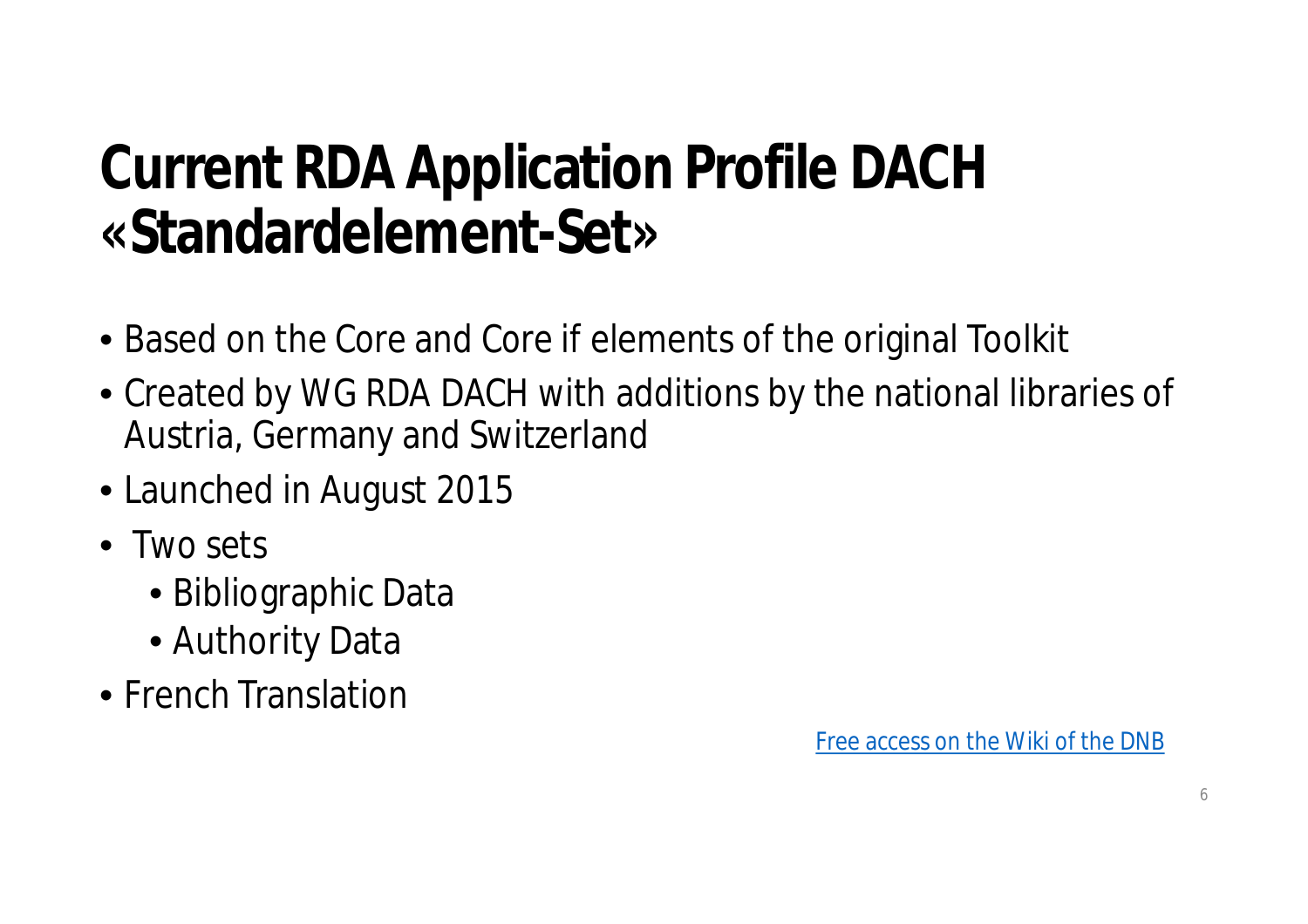### **Current RDA Application Profile DACH «Standardelement-Set»**

- Based on the *Core* and *Core if* elements of the original Toolkit
- Created by WG RDA DACH with additions by the national libraries of Austria, Germany and Switzerland
- Launched in August 2015
- Two sets
	- Bibliographic Data
	- Authority Data
- French Translation

Free access on the Wiki of the DNB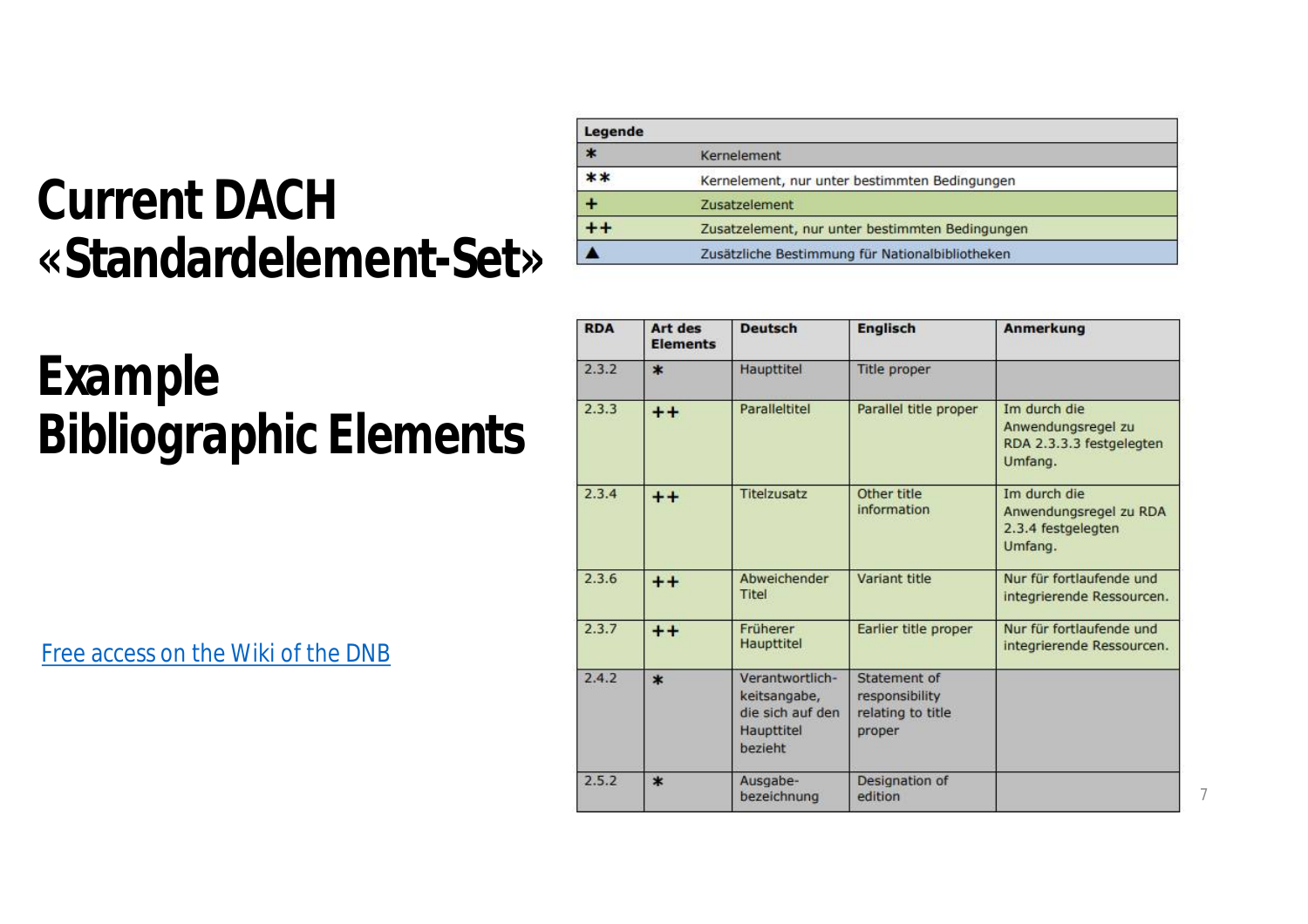### **Current DACH «Standardelement-Set»**

| Legende |                                                 |  |
|---------|-------------------------------------------------|--|
|         | Kernelement                                     |  |
| **      | Kernelement, nur unter bestimmten Bedingungen   |  |
|         | Zusatzelement                                   |  |
| $++$    | Zusatzelement, nur unter bestimmten Bedingungen |  |
|         | Zusätzliche Bestimmung für Nationalbibliotheken |  |

### *Example Bibliographic Elements*

Free access on the Wiki of the DNB

| <b>RDA</b> | Art des<br><b>Elements</b> | <b>Deutsch</b>                                                               | <b>Englisch</b>                                               | <b>Anmerkung</b>                                                          |
|------------|----------------------------|------------------------------------------------------------------------------|---------------------------------------------------------------|---------------------------------------------------------------------------|
| 2.3.2      | $\ast$                     | <b>Haupttitel</b>                                                            | <b>Title proper</b>                                           |                                                                           |
| 2.3.3      | $++$                       | Paralleltitel                                                                | Parallel title proper                                         | Im durch die<br>Anwendungsregel zu<br>RDA 2.3.3.3 festgelegten<br>Umfang. |
| 2.3.4      | $+ +$                      | Titelzusatz                                                                  | Other title<br>information                                    | Im durch die<br>Anwendungsregel zu RDA<br>2.3.4 festgelegten<br>Umfang.   |
| 2.3.6      | $++$                       | Abweichender<br>Titel                                                        | Variant title                                                 | Nur für fortlaufende und<br>integrierende Ressourcen.                     |
| 2.3.7      | $+ +$                      | Früherer<br>Haupttitel                                                       | Earlier title proper                                          | Nur für fortlaufende und<br>integrierende Ressourcen.                     |
| 2.4.2      | $\ast$                     | Verantwortlich-<br>keitsangabe,<br>die sich auf den<br>Haupttitel<br>bezieht | Statement of<br>responsibility<br>relating to title<br>proper |                                                                           |
| 2.5.2      | $\ast$                     | Ausgabe-<br>bezeichnung                                                      | Designation of<br>edition                                     |                                                                           |

7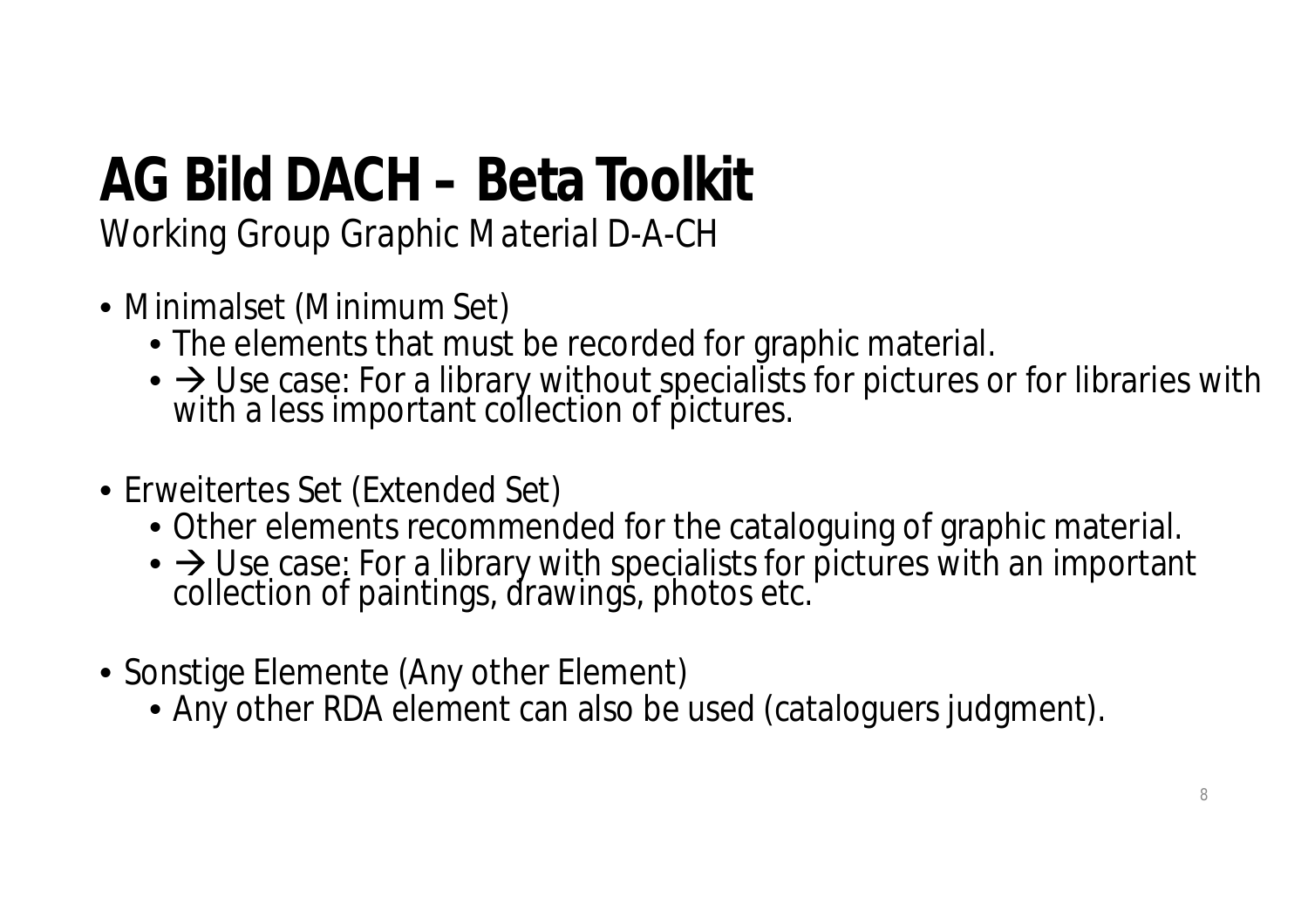## **AG Bild DACH – Beta Toolkit**

*Working Group Graphic Material D-A-CH*

- Minimalset (Minimum Set)
	- The elements that must be recorded for graphic material.
	- $\rightarrow$  Use case: For a library without specialists for pictures or for libraries with with a less important collection of pictures.
- Erweitertes Set (Extended Set)
	- Other elements recommended for the cataloguing of graphic material.
	- $\rightarrow$  Use case: For a library with specialists for pictures with an important collection of paintings, drawings, photos etc.
- Sonstige Elemente (Any other Element)
	- Any other RDA element can also be used (cataloguers judgment).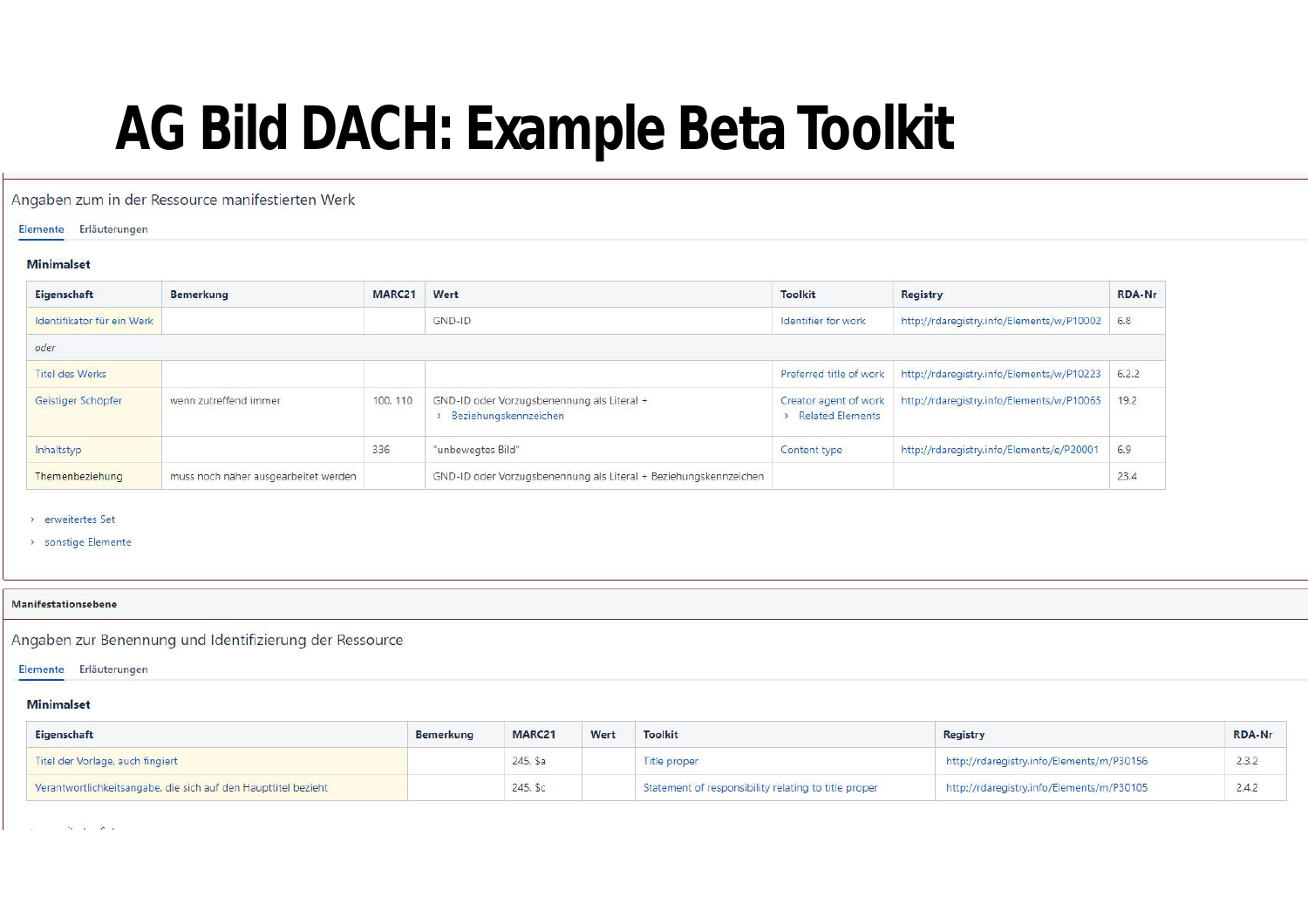### **AG Bild DACH: Example Beta Toolkit**

Angaben zum in der Ressource manifestierten Werk

### Elemente Erläuterungen

### **Minimalset**

| Eigenschaft                | <b>Bemerkung</b>                     | MARC21  | Wert                                                                | <b>Toolkit</b>                                   | <b>Registry</b>                           | <b>RDA-Nr</b> |
|----------------------------|--------------------------------------|---------|---------------------------------------------------------------------|--------------------------------------------------|-------------------------------------------|---------------|
| Identifikator für ein Werk |                                      |         | GND-ID                                                              | Identifier for work                              | http://rdaregistry.info/Elements/w/P10002 | 6.8           |
| oder                       |                                      |         |                                                                     |                                                  |                                           |               |
| <b>Titel des Werks</b>     |                                      |         |                                                                     | Preferred title of work                          | http://rdaregistry.info/Elements/w/P10223 | 6.2.2         |
| Geistiger Schöpfer         | wenn zutreffend immer                | 100.110 | GND-ID oder Vorzugsbenennung als Literal +<br>Beziehungskennzeichen | Creator agent of work<br><b>Related Elements</b> | http://rdaregistry.info/Elements/w/P10065 | 19.2          |
| Inhaltstyp                 |                                      | 336     | "unbewegtes Bild"                                                   | Content type                                     | http://rdaregistry.info/Elements/e/P20001 | 6.9           |
| Themenbeziehung            | muss noch näher ausgearbeitet werden |         | GND-ID oder Vorzugsbenennung als Literal + Beziehungskennzeichen    |                                                  |                                           | 23.4          |

> erweitertes Set

> sonstige Elemente

### Manifestationsebene

Angaben zur Benennung und Identifizierung der Ressource

Elemente Erläuterungen

### **Minimalset**

| Eigenschaft                                                    | <b>Bemerkung</b> | MARC21   | Wert | <b>Toolkit</b>                                       | Registry                                  | <b>RDA-Nr</b> |
|----------------------------------------------------------------|------------------|----------|------|------------------------------------------------------|-------------------------------------------|---------------|
| Titel der Vorlage, auch fingiert                               |                  | 245, \$a |      | <b>Title proper</b>                                  | http://rdaregistry.info/Elements/m/P30156 | 2.3.2         |
| Verantwortlichkeitsangabe, die sich auf den Haupttitel bezieht |                  | 245, 5c  |      | Statement of responsibility relating to title proper | http://rdaregistry.info/Elements/m/P30105 | 2.4.2         |

**Report Follows**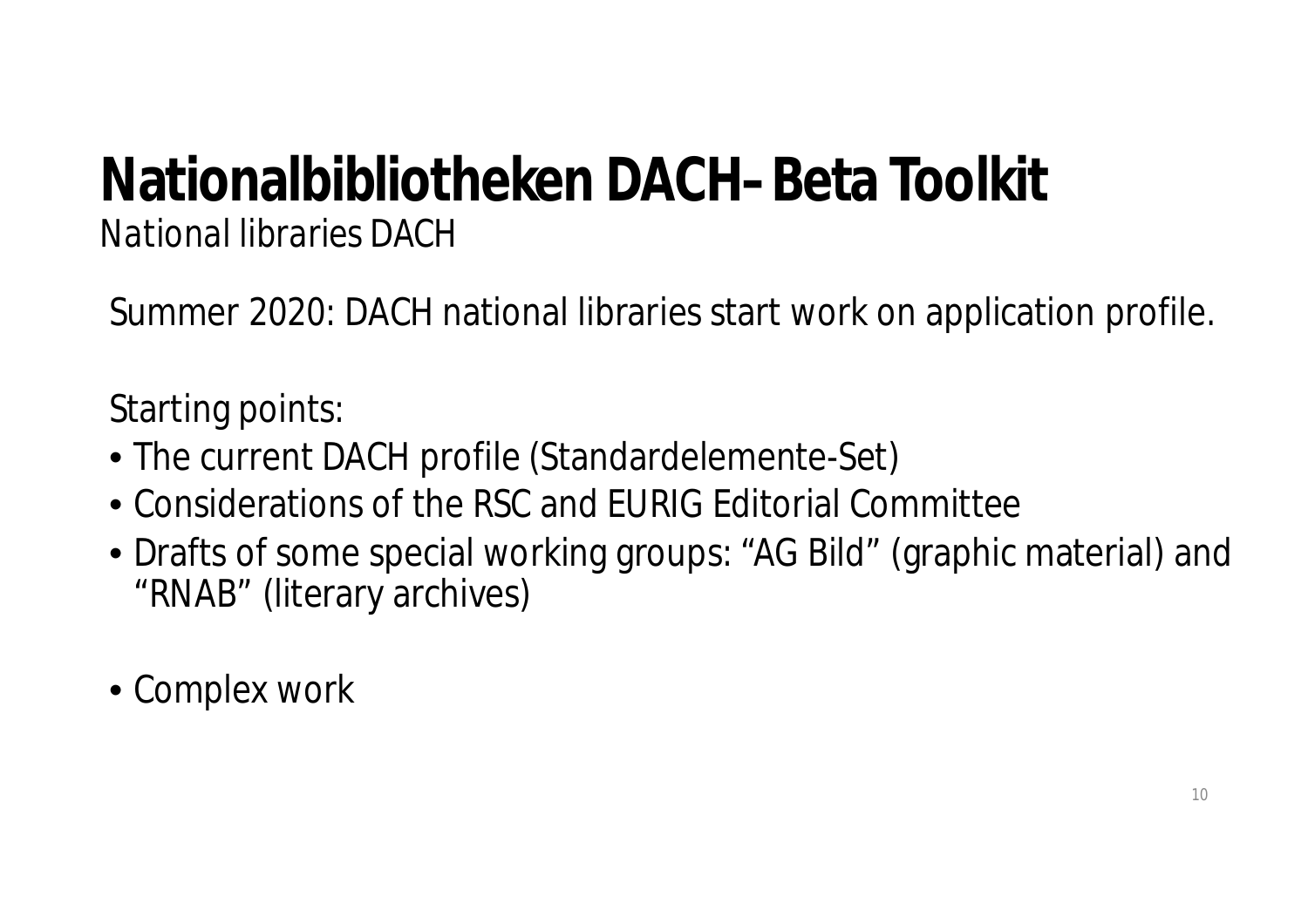## **Nationalbibliotheken DACH–Beta Toolkit**

*National libraries DACH*

Summer 2020: DACH national libraries start work on application profile.

Starting points:

- The current DACH profile (Standardelemente-Set)
- Considerations of the RSC and EURIG Editorial Committee
- Drafts of some special working groups: "AG Bild" (graphic material) and "RNAB" (literary archives)
- Complex work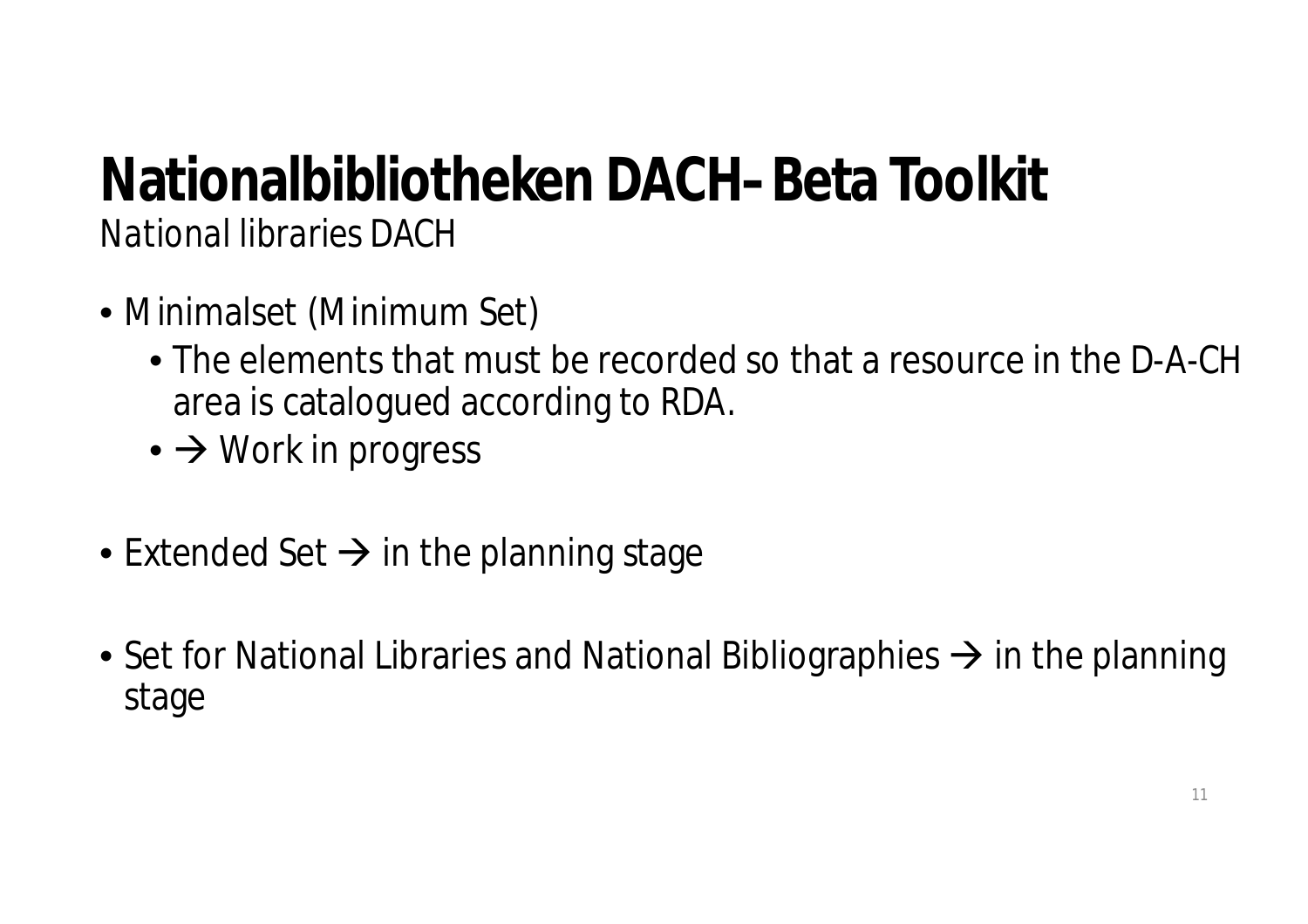### **Nationalbibliotheken DACH–Beta Toolkit**

*National libraries DACH*

- Minimalset (Minimum Set)
	- The elements that must be recorded so that a resource in the D-A-CH area is catalogued according to RDA.
	- $\bullet \rightarrow$  Work in progress
- Extended Set  $\rightarrow$  in the planning stage
- Set for National Libraries and National Bibliographies  $\rightarrow$  in the planning stage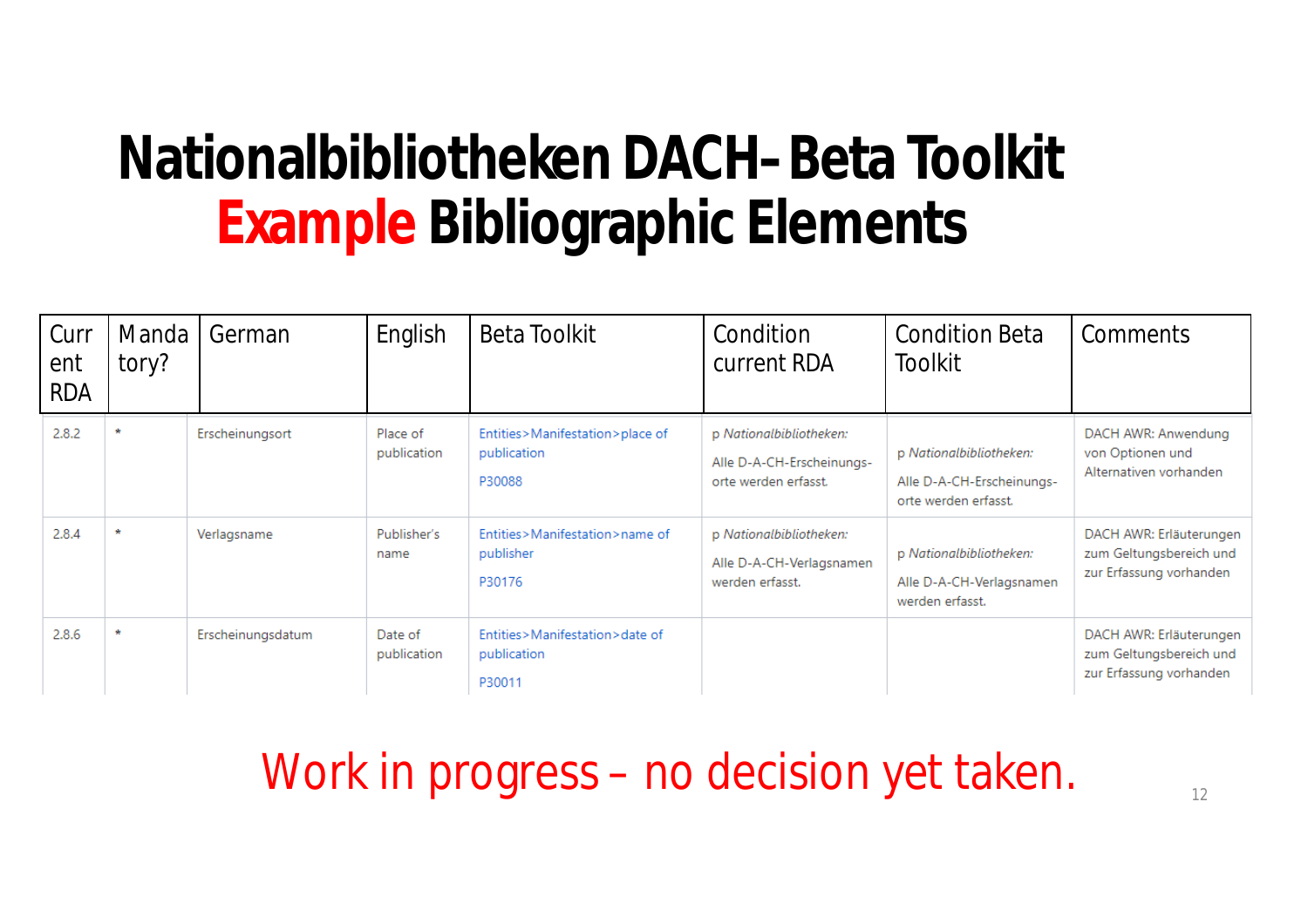### **Nationalbibliotheken DACH–Beta Toolkit Example Bibliographic Elements**

| Curr<br>ent<br><b>RDA</b> | Manda<br>tory? | German            | English                 | <b>Beta Toolkit</b>                                      | Condition<br>current RDA                                                     | <b>Condition Beta</b><br><b>Toolkit</b>                                      | Comments                                                                      |
|---------------------------|----------------|-------------------|-------------------------|----------------------------------------------------------|------------------------------------------------------------------------------|------------------------------------------------------------------------------|-------------------------------------------------------------------------------|
| 2.8.2                     |                | Erscheinungsort   | Place of<br>publication | Entities>Manifestation>place of<br>publication<br>P30088 | p Nationalbibliotheken:<br>Alle D-A-CH-Erscheinungs-<br>orte werden erfasst. | p Nationalbibliotheken:<br>Alle D-A-CH-Erscheinungs-<br>orte werden erfasst. | DACH AWR: Anwendung<br>von Optionen und<br>Alternativen vorhanden             |
| 2.8.4                     |                | Verlagsname       | Publisher's<br>name     | Entities>Manifestation>name of<br>publisher<br>P30176    | p Nationalbibliotheken:<br>Alle D-A-CH-Verlagsnamen<br>werden erfasst.       | p Nationalbibliotheken:<br>Alle D-A-CH-Verlagsnamen<br>werden erfasst.       | DACH AWR: Erläuterungen<br>zum Geltungsbereich und<br>zur Erfassung vorhanden |
| 2.8.6                     |                | Erscheinungsdatum | Date of<br>publication  | Entities>Manifestation>date of<br>publication<br>P30011  |                                                                              |                                                                              | DACH AWR: Erläuterungen<br>zum Geltungsbereich und<br>zur Erfassung vorhanden |

Work in progress – no decision yet taken.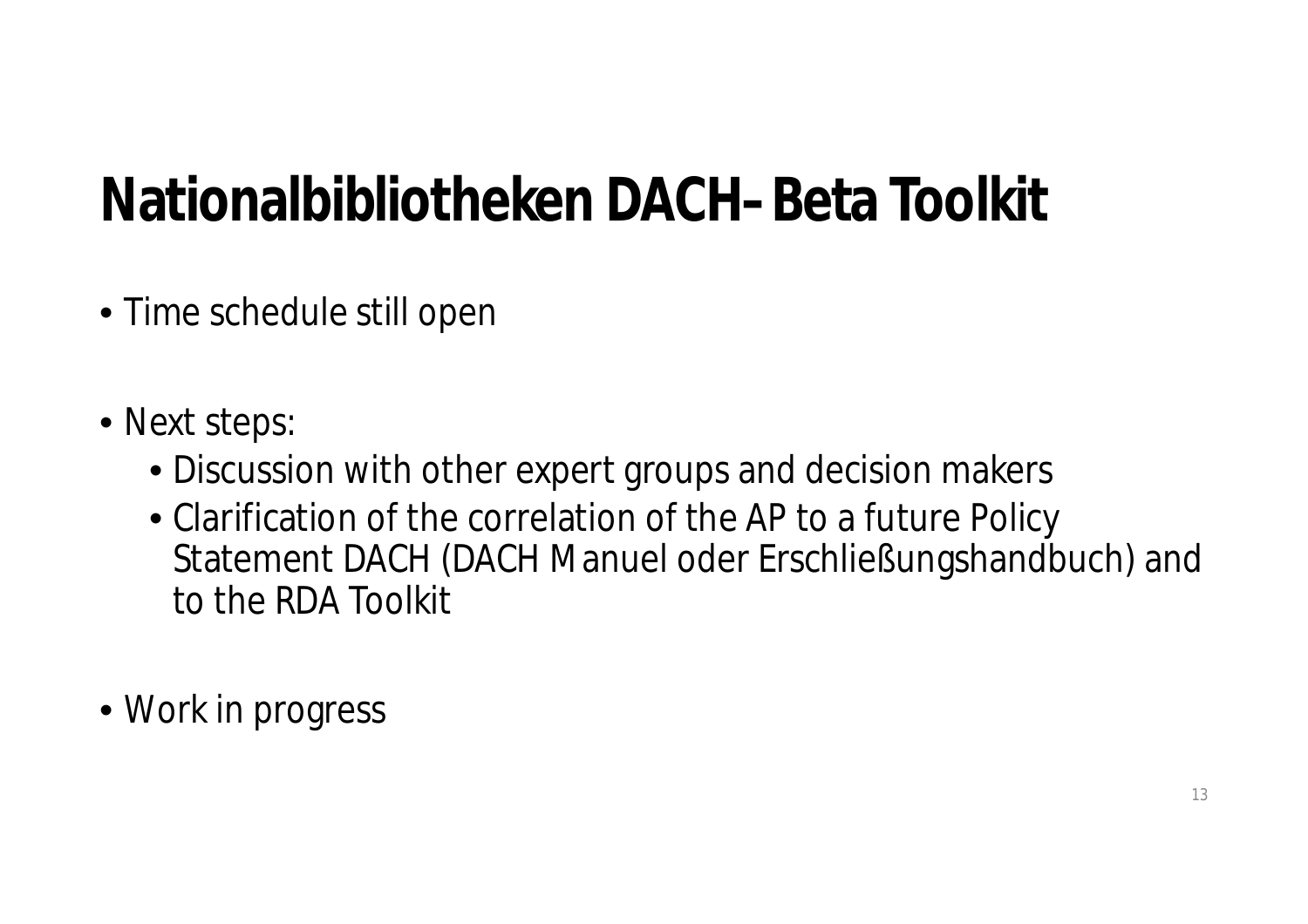### **Nationalbibliotheken DACH–Beta Toolkit**

- Time schedule still open
- Next steps:
	- Discussion with other expert groups and decision makers
	- Clarification of the correlation of the AP to a future Policy Statement DACH (DACH Manuel oder Erschließungshandbuch) and to the RDA Toolkit
- Work in progress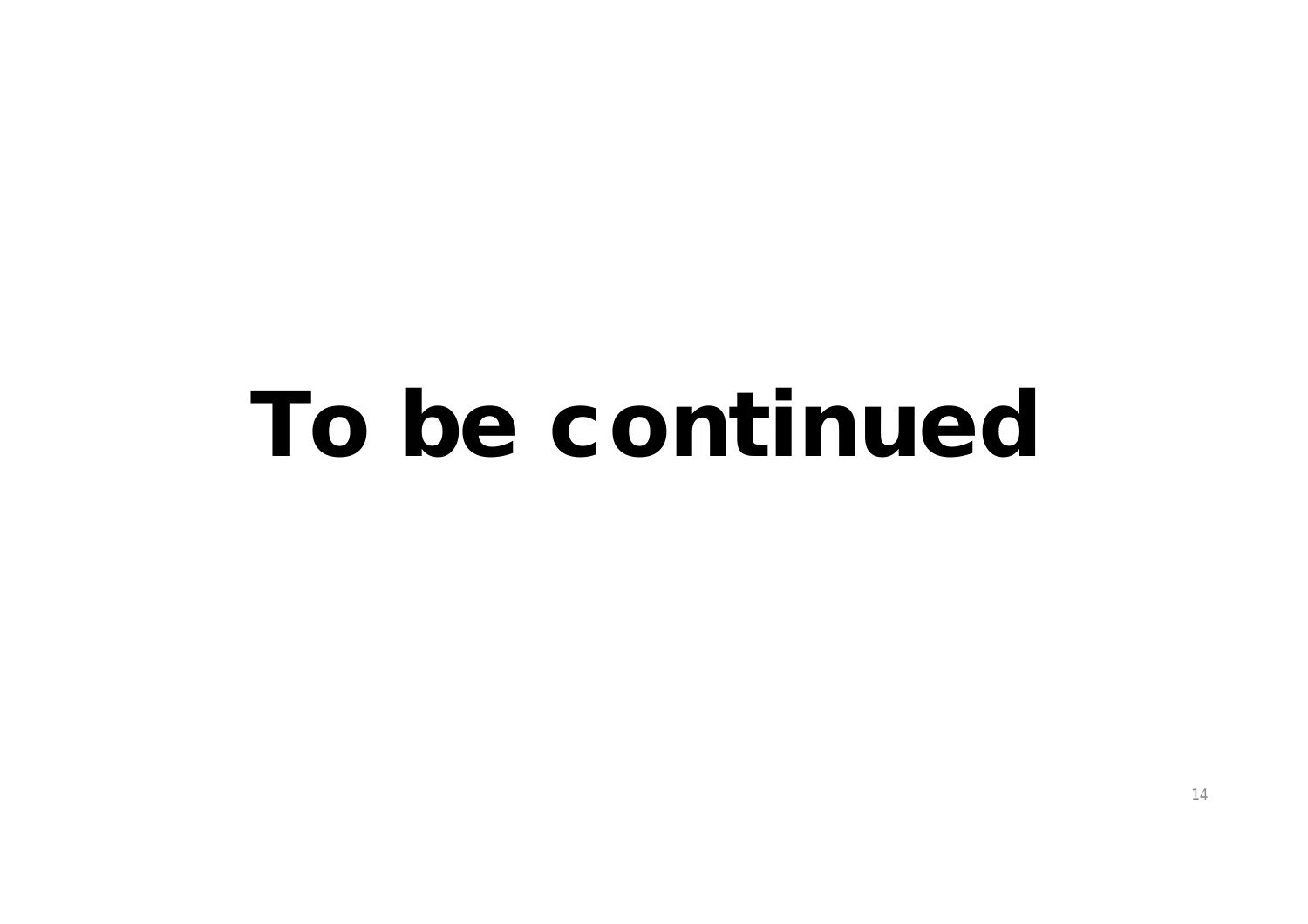# **To be continued**